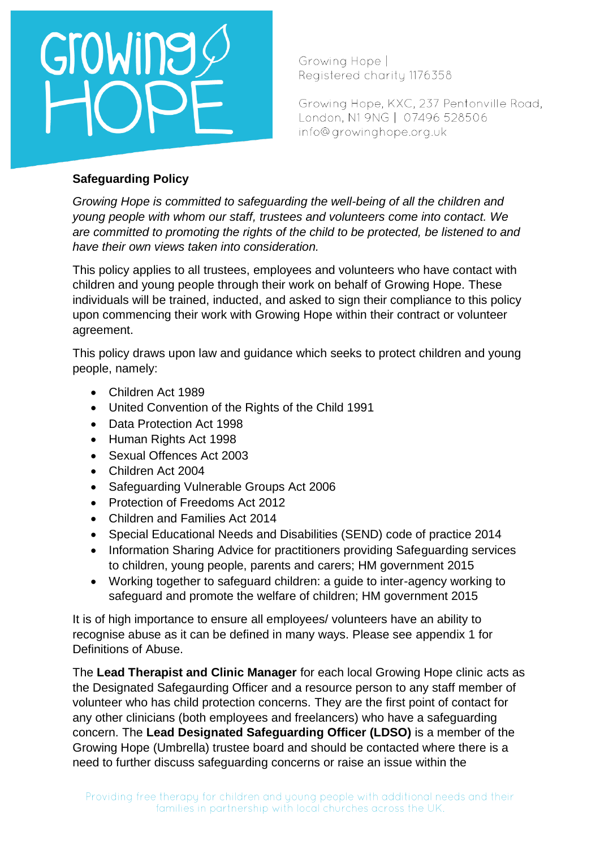

Growing Hope, KXC, 237 Pentonville Road, London, N1 9NG | 07496 528506 info@growinghope.org.uk

### **Safeguarding Policy**

*Growing Hope is committed to safeguarding the well-being of all the children and young people with whom our staff, trustees and volunteers come into contact. We are committed to promoting the rights of the child to be protected, be listened to and have their own views taken into consideration.* 

This policy applies to all trustees, employees and volunteers who have contact with children and young people through their work on behalf of Growing Hope. These individuals will be trained, inducted, and asked to sign their compliance to this policy upon commencing their work with Growing Hope within their contract or volunteer agreement.

This policy draws upon law and guidance which seeks to protect children and young people, namely:

- Children Act 1989
- United Convention of the Rights of the Child 1991
- Data Protection Act 1998
- Human Rights Act 1998
- Sexual Offences Act 2003
- Children Act 2004
- Safeguarding Vulnerable Groups Act 2006
- Protection of Freedoms Act 2012
- Children and Families Act 2014
- Special Educational Needs and Disabilities (SEND) code of practice 2014
- Information Sharing Advice for practitioners providing Safeguarding services to children, young people, parents and carers; HM government 2015
- Working together to safeguard children: a guide to inter-agency working to safeguard and promote the welfare of children; HM government 2015

It is of high importance to ensure all employees/ volunteers have an ability to recognise abuse as it can be defined in many ways. Please see appendix 1 for Definitions of Abuse.

The **Lead Therapist and Clinic Manager** for each local Growing Hope clinic acts as the Designated Safegaurding Officer and a resource person to any staff member of volunteer who has child protection concerns. They are the first point of contact for any other clinicians (both employees and freelancers) who have a safeguarding concern. The **Lead Designated Safeguarding Officer (LDSO)** is a member of the Growing Hope (Umbrella) trustee board and should be contacted where there is a need to further discuss safeguarding concerns or raise an issue within the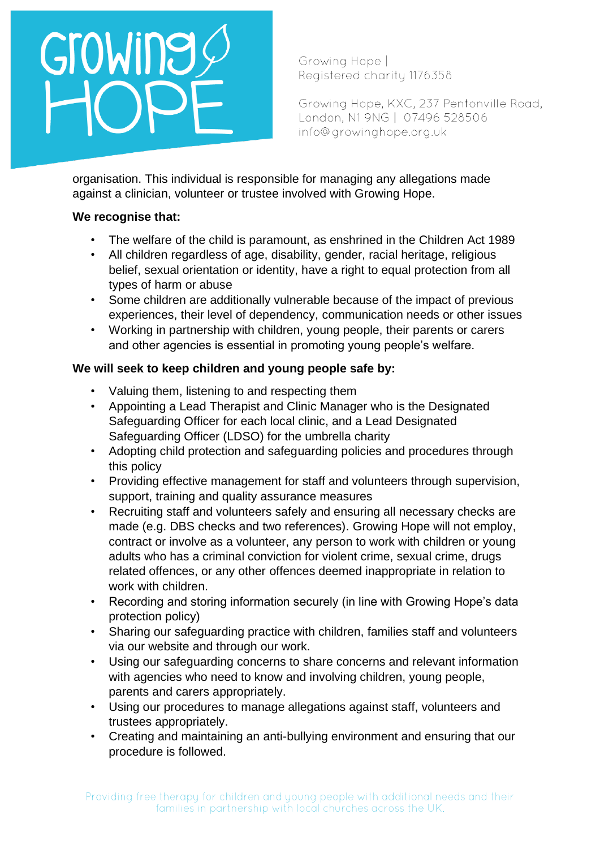

Growing Hope, KXC, 237 Pentonville Road, London, N1 9NG | 07496 528506 info@growinghope.org.uk

organisation. This individual is responsible for managing any allegations made against a clinician, volunteer or trustee involved with Growing Hope.

### **We recognise that:**

- The welfare of the child is paramount, as enshrined in the Children Act 1989
- All children regardless of age, disability, gender, racial heritage, religious belief, sexual orientation or identity, have a right to equal protection from all types of harm or abuse
- Some children are additionally vulnerable because of the impact of previous experiences, their level of dependency, communication needs or other issues
- Working in partnership with children, young people, their parents or carers and other agencies is essential in promoting young people's welfare.

## **We will seek to keep children and young people safe by:**

- Valuing them, listening to and respecting them
- Appointing a Lead Therapist and Clinic Manager who is the Designated Safeguarding Officer for each local clinic, and a Lead Designated Safeguarding Officer (LDSO) for the umbrella charity
- Adopting child protection and safeguarding policies and procedures through this policy
- Providing effective management for staff and volunteers through supervision, support, training and quality assurance measures
- Recruiting staff and volunteers safely and ensuring all necessary checks are made (e.g. DBS checks and two references). Growing Hope will not employ, contract or involve as a volunteer, any person to work with children or young adults who has a criminal conviction for violent crime, sexual crime, drugs related offences, or any other offences deemed inappropriate in relation to work with children.
- Recording and storing information securely (in line with Growing Hope's data protection policy)
- Sharing our safeguarding practice with children, families staff and volunteers via our website and through our work.
- Using our safeguarding concerns to share concerns and relevant information with agencies who need to know and involving children, young people, parents and carers appropriately.
- Using our procedures to manage allegations against staff, volunteers and trustees appropriately.
- Creating and maintaining an anti-bullying environment and ensuring that our procedure is followed.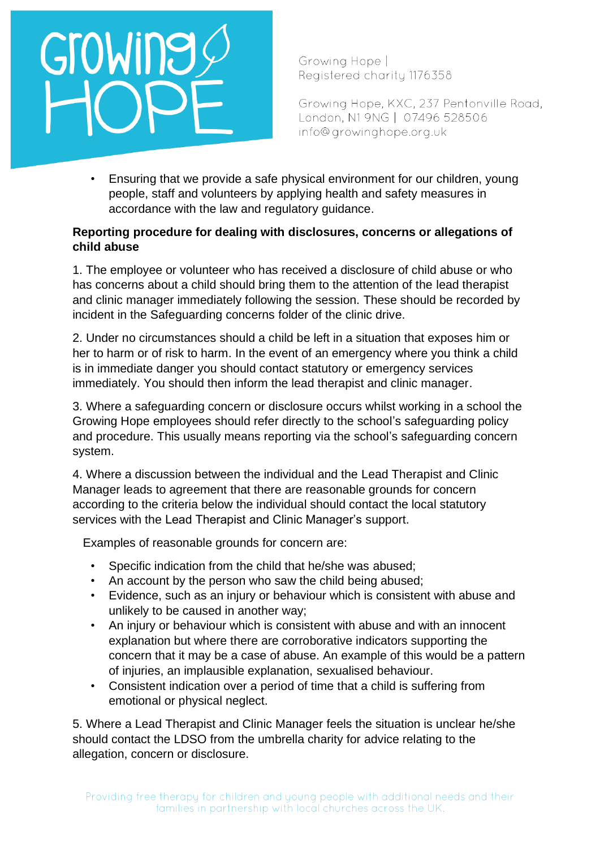

Growing Hope, KXC, 237 Pentonville Road, London, N1 9NG | 07496 528506 info@growinghope.org.uk

• Ensuring that we provide a safe physical environment for our children, young people, staff and volunteers by applying health and safety measures in accordance with the law and regulatory guidance.

#### **Reporting procedure for dealing with disclosures, concerns or allegations of child abuse**

1. The employee or volunteer who has received a disclosure of child abuse or who has concerns about a child should bring them to the attention of the lead therapist and clinic manager immediately following the session. These should be recorded by incident in the Safeguarding concerns folder of the clinic drive.

2. Under no circumstances should a child be left in a situation that exposes him or her to harm or of risk to harm. In the event of an emergency where you think a child is in immediate danger you should contact statutory or emergency services immediately. You should then inform the lead therapist and clinic manager.

3. Where a safeguarding concern or disclosure occurs whilst working in a school the Growing Hope employees should refer directly to the school's safeguarding policy and procedure. This usually means reporting via the school's safeguarding concern system.

4. Where a discussion between the individual and the Lead Therapist and Clinic Manager leads to agreement that there are reasonable grounds for concern according to the criteria below the individual should contact the local statutory services with the Lead Therapist and Clinic Manager's support.

Examples of reasonable grounds for concern are:

- Specific indication from the child that he/she was abused;
- An account by the person who saw the child being abused;
- Evidence, such as an injury or behaviour which is consistent with abuse and unlikely to be caused in another way;
- An injury or behaviour which is consistent with abuse and with an innocent explanation but where there are corroborative indicators supporting the concern that it may be a case of abuse. An example of this would be a pattern of injuries, an implausible explanation, sexualised behaviour.
- Consistent indication over a period of time that a child is suffering from emotional or physical neglect.

5. Where a Lead Therapist and Clinic Manager feels the situation is unclear he/she should contact the LDSO from the umbrella charity for advice relating to the allegation, concern or disclosure.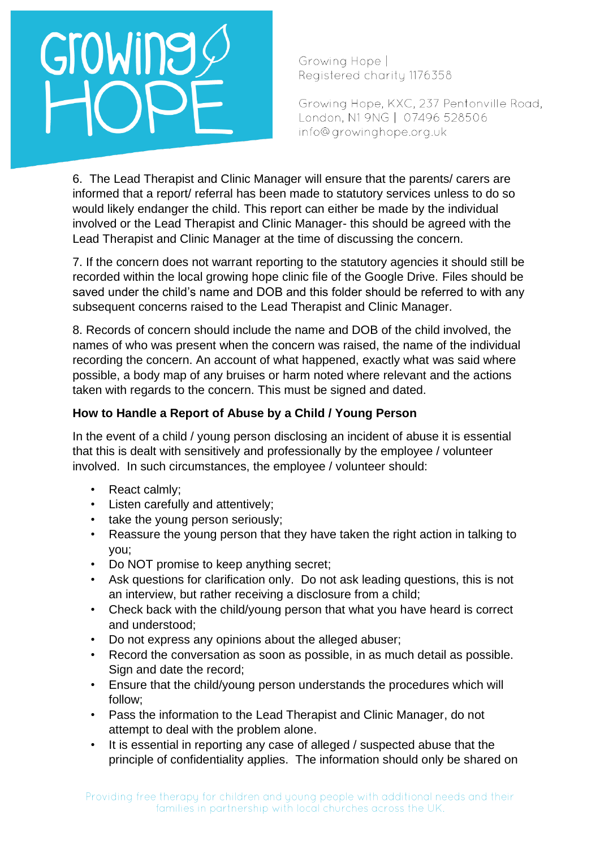# GroWing

Growing Hope | Registered charity 1176358

Growing Hope, KXC, 237 Pentonville Road, London, N1 9NG | 07496 528506 info@growinghope.org.uk

6. The Lead Therapist and Clinic Manager will ensure that the parents/ carers are informed that a report/ referral has been made to statutory services unless to do so would likely endanger the child. This report can either be made by the individual involved or the Lead Therapist and Clinic Manager- this should be agreed with the Lead Therapist and Clinic Manager at the time of discussing the concern.

7. If the concern does not warrant reporting to the statutory agencies it should still be recorded within the local growing hope clinic file of the Google Drive. Files should be saved under the child's name and DOB and this folder should be referred to with any subsequent concerns raised to the Lead Therapist and Clinic Manager.

8. Records of concern should include the name and DOB of the child involved, the names of who was present when the concern was raised, the name of the individual recording the concern. An account of what happened, exactly what was said where possible, a body map of any bruises or harm noted where relevant and the actions taken with regards to the concern. This must be signed and dated.

## **How to Handle a Report of Abuse by a Child / Young Person**

In the event of a child / young person disclosing an incident of abuse it is essential that this is dealt with sensitively and professionally by the employee / volunteer involved. In such circumstances, the employee / volunteer should:

- React calmly;
- Listen carefully and attentively;
- take the young person seriously;
- Reassure the young person that they have taken the right action in talking to you;
- Do NOT promise to keep anything secret;
- Ask questions for clarification only. Do not ask leading questions, this is not an interview, but rather receiving a disclosure from a child;
- Check back with the child/young person that what you have heard is correct and understood;
- Do not express any opinions about the alleged abuser;
- Record the conversation as soon as possible, in as much detail as possible. Sign and date the record;
- Ensure that the child/young person understands the procedures which will follow;
- Pass the information to the Lead Therapist and Clinic Manager, do not attempt to deal with the problem alone.
- It is essential in reporting any case of alleged / suspected abuse that the principle of confidentiality applies. The information should only be shared on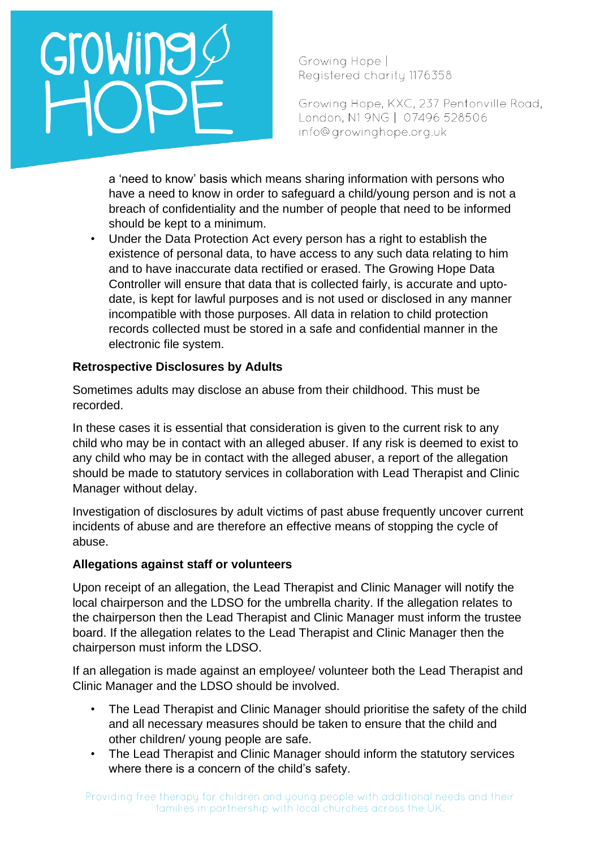# Growing

Growing Hope | Registered charity 1176358

Growing Hope, KXC, 237 Pentonville Road, London, N1 9NG | 07496 528506 info@growinghope.org.uk

a 'need to know' basis which means sharing information with persons who have a need to know in order to safeguard a child/young person and is not a breach of confidentiality and the number of people that need to be informed should be kept to a minimum.

• Under the Data Protection Act every person has a right to establish the existence of personal data, to have access to any such data relating to him and to have inaccurate data rectified or erased. The Growing Hope Data Controller will ensure that data that is collected fairly, is accurate and uptodate, is kept for lawful purposes and is not used or disclosed in any manner incompatible with those purposes. All data in relation to child protection records collected must be stored in a safe and confidential manner in the electronic file system.

## **Retrospective Disclosures by Adults**

Sometimes adults may disclose an abuse from their childhood. This must be recorded.

In these cases it is essential that consideration is given to the current risk to any child who may be in contact with an alleged abuser. If any risk is deemed to exist to any child who may be in contact with the alleged abuser, a report of the allegation should be made to statutory services in collaboration with Lead Therapist and Clinic Manager without delay.

Investigation of disclosures by adult victims of past abuse frequently uncover current incidents of abuse and are therefore an effective means of stopping the cycle of abuse.

#### **Allegations against staff or volunteers**

Upon receipt of an allegation, the Lead Therapist and Clinic Manager will notify the local chairperson and the LDSO for the umbrella charity. If the allegation relates to the chairperson then the Lead Therapist and Clinic Manager must inform the trustee board. If the allegation relates to the Lead Therapist and Clinic Manager then the chairperson must inform the LDSO.

If an allegation is made against an employee/ volunteer both the Lead Therapist and Clinic Manager and the LDSO should be involved.

- The Lead Therapist and Clinic Manager should prioritise the safety of the child and all necessary measures should be taken to ensure that the child and other children/ young people are safe.
- The Lead Therapist and Clinic Manager should inform the statutory services where there is a concern of the child's safety.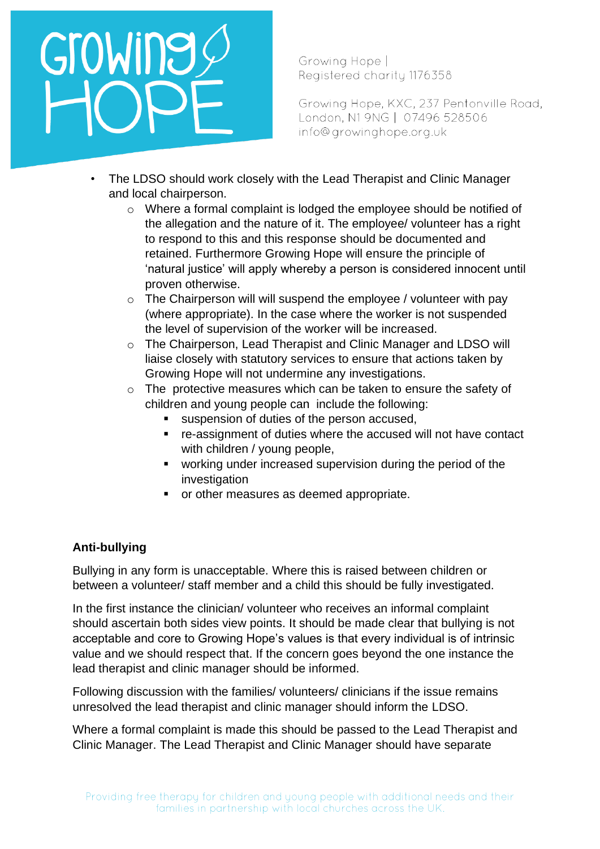

Growing Hope, KXC, 237 Pentonville Road, London, N1 9NG | 07496 528506 info@growinghope.org.uk

- The LDSO should work closely with the Lead Therapist and Clinic Manager and local chairperson.
	- o Where a formal complaint is lodged the employee should be notified of the allegation and the nature of it. The employee/ volunteer has a right to respond to this and this response should be documented and retained. Furthermore Growing Hope will ensure the principle of 'natural justice' will apply whereby a person is considered innocent until proven otherwise.
	- $\circ$  The Chairperson will will suspend the employee / volunteer with pay (where appropriate). In the case where the worker is not suspended the level of supervision of the worker will be increased.
	- o The Chairperson, Lead Therapist and Clinic Manager and LDSO will liaise closely with statutory services to ensure that actions taken by Growing Hope will not undermine any investigations.
	- o The protective measures which can be taken to ensure the safety of children and young people can include the following:
		- suspension of duties of the person accused,
		- re-assignment of duties where the accused will not have contact with children / young people,
		- working under increased supervision during the period of the investigation
		- or other measures as deemed appropriate.

## **Anti-bullying**

Bullying in any form is unacceptable. Where this is raised between children or between a volunteer/ staff member and a child this should be fully investigated.

In the first instance the clinician/ volunteer who receives an informal complaint should ascertain both sides view points. It should be made clear that bullying is not acceptable and core to Growing Hope's values is that every individual is of intrinsic value and we should respect that. If the concern goes beyond the one instance the lead therapist and clinic manager should be informed.

Following discussion with the families/ volunteers/ clinicians if the issue remains unresolved the lead therapist and clinic manager should inform the LDSO.

Where a formal complaint is made this should be passed to the Lead Therapist and Clinic Manager. The Lead Therapist and Clinic Manager should have separate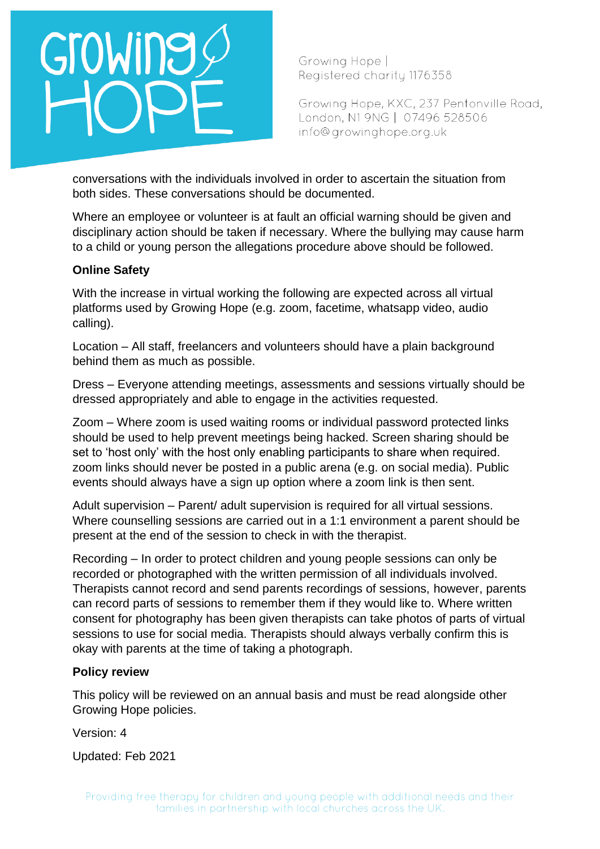

Growing Hope, KXC, 237 Pentonville Road, London, N1 9NG | 07496 528506 info@growinghope.org.uk

conversations with the individuals involved in order to ascertain the situation from both sides. These conversations should be documented.

Where an employee or volunteer is at fault an official warning should be given and disciplinary action should be taken if necessary. Where the bullying may cause harm to a child or young person the allegations procedure above should be followed.

#### **Online Safety**

With the increase in virtual working the following are expected across all virtual platforms used by Growing Hope (e.g. zoom, facetime, whatsapp video, audio calling).

Location – All staff, freelancers and volunteers should have a plain background behind them as much as possible.

Dress – Everyone attending meetings, assessments and sessions virtually should be dressed appropriately and able to engage in the activities requested.

Zoom – Where zoom is used waiting rooms or individual password protected links should be used to help prevent meetings being hacked. Screen sharing should be set to 'host only' with the host only enabling participants to share when required. zoom links should never be posted in a public arena (e.g. on social media). Public events should always have a sign up option where a zoom link is then sent.

Adult supervision – Parent/ adult supervision is required for all virtual sessions. Where counselling sessions are carried out in a 1:1 environment a parent should be present at the end of the session to check in with the therapist.

Recording – In order to protect children and young people sessions can only be recorded or photographed with the written permission of all individuals involved. Therapists cannot record and send parents recordings of sessions, however, parents can record parts of sessions to remember them if they would like to. Where written consent for photography has been given therapists can take photos of parts of virtual sessions to use for social media. Therapists should always verbally confirm this is okay with parents at the time of taking a photograph.

#### **Policy review**

This policy will be reviewed on an annual basis and must be read alongside other Growing Hope policies.

Version: 4

Updated: Feb 2021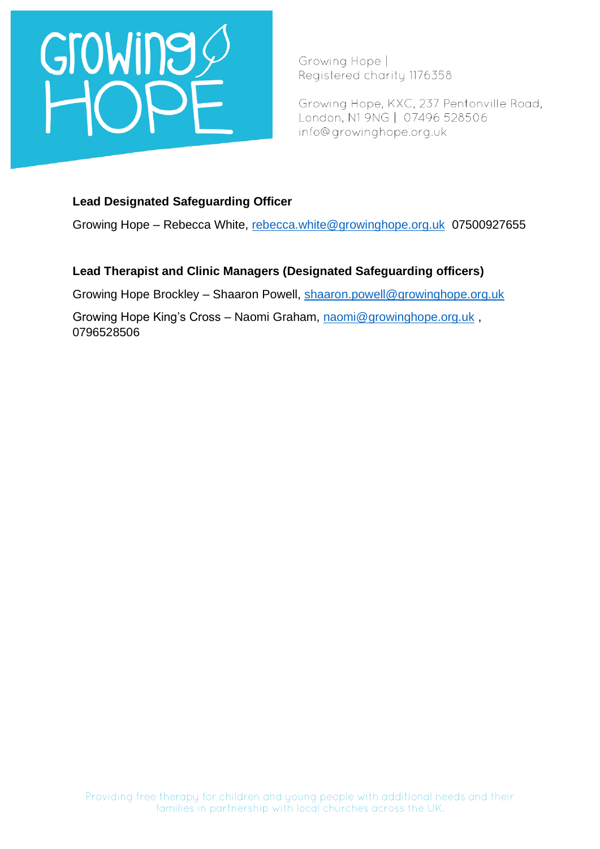

Growing Hope, KXC, 237 Pentonville Road, London, N1 9NG | 07496 528506 info@growinghope.org.uk

#### **Lead Designated Safeguarding Officer**

Growing Hope – Rebecca White, [rebecca.white@growinghope.org.uk](mailto:rebecca.white@growinghope.org.uk) 07500927655

#### **Lead Therapist and Clinic Managers (Designated Safeguarding officers)**

Growing Hope Brockley – Shaaron Powell, [shaaron.powell@growinghope.org.uk](mailto:shaaron.powell@growinghope.org.uk)

Growing Hope King's Cross – Naomi Graham, [naomi@growinghope.org.uk](mailto:naomi@growinghope.org.uk) , 0796528506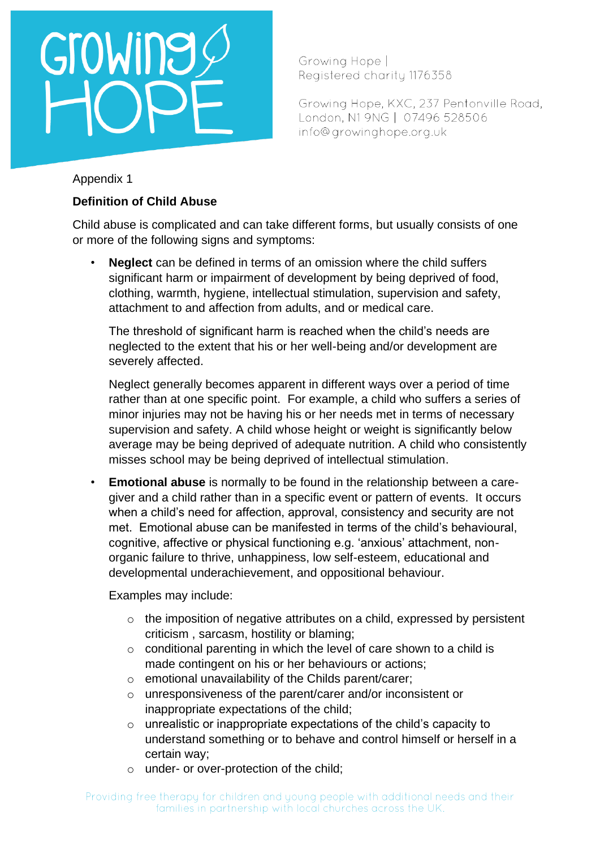# Growing

Growing Hope | Registered charity 1176358

Growing Hope, KXC, 237 Pentonville Road, London, N1 9NG | 07496 528506 info@growinghope.org.uk

### Appendix 1

## **Definition of Child Abuse**

Child abuse is complicated and can take different forms, but usually consists of one or more of the following signs and symptoms:

• **Neglect** can be defined in terms of an omission where the child suffers significant harm or impairment of development by being deprived of food, clothing, warmth, hygiene, intellectual stimulation, supervision and safety, attachment to and affection from adults, and or medical care.

The threshold of significant harm is reached when the child's needs are neglected to the extent that his or her well-being and/or development are severely affected.

Neglect generally becomes apparent in different ways over a period of time rather than at one specific point. For example, a child who suffers a series of minor injuries may not be having his or her needs met in terms of necessary supervision and safety. A child whose height or weight is significantly below average may be being deprived of adequate nutrition. A child who consistently misses school may be being deprived of intellectual stimulation.

• **Emotional abuse** is normally to be found in the relationship between a caregiver and a child rather than in a specific event or pattern of events. It occurs when a child's need for affection, approval, consistency and security are not met. Emotional abuse can be manifested in terms of the child's behavioural, cognitive, affective or physical functioning e.g. 'anxious' attachment, nonorganic failure to thrive, unhappiness, low self-esteem, educational and developmental underachievement, and oppositional behaviour.

Examples may include:

- o the imposition of negative attributes on a child, expressed by persistent criticism , sarcasm, hostility or blaming;
- $\circ$  conditional parenting in which the level of care shown to a child is made contingent on his or her behaviours or actions;
- o emotional unavailability of the Childs parent/carer;
- o unresponsiveness of the parent/carer and/or inconsistent or inappropriate expectations of the child;
- o unrealistic or inappropriate expectations of the child's capacity to understand something or to behave and control himself or herself in a certain way;
- o under- or over-protection of the child;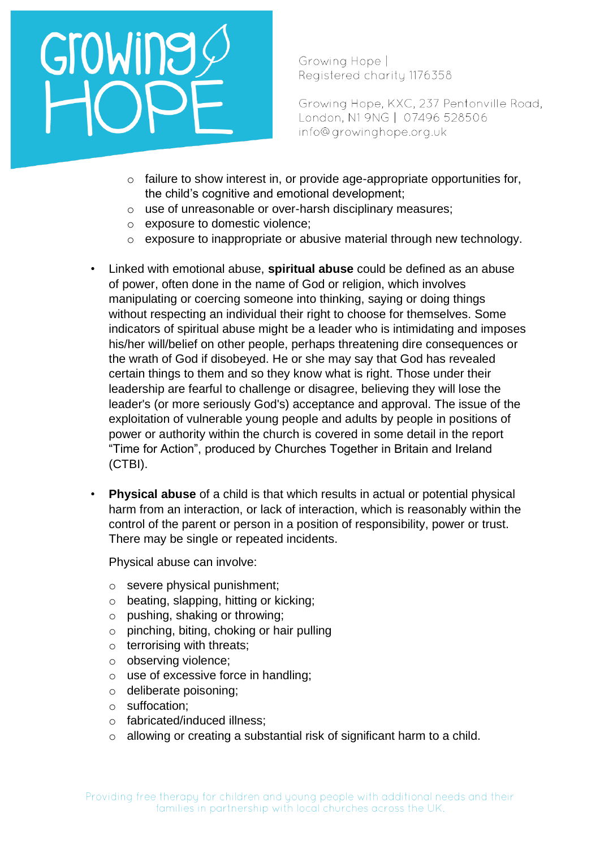

Growing Hope, KXC, 237 Pentonville Road, London, N1 9NG | 07496 528506 info@growinghope.org.uk

- o failure to show interest in, or provide age-appropriate opportunities for, the child's cognitive and emotional development;
- o use of unreasonable or over-harsh disciplinary measures;
- o exposure to domestic violence;
- o exposure to inappropriate or abusive material through new technology.
- Linked with emotional abuse, **spiritual abuse** could be defined as an abuse of power, often done in the name of God or religion, which involves manipulating or coercing someone into thinking, saying or doing things without respecting an individual their right to choose for themselves. Some indicators of spiritual abuse might be a leader who is intimidating and imposes his/her will/belief on other people, perhaps threatening dire consequences or the wrath of God if disobeyed. He or she may say that God has revealed certain things to them and so they know what is right. Those under their leadership are fearful to challenge or disagree, believing they will lose the leader's (or more seriously God's) acceptance and approval. The issue of the exploitation of vulnerable young people and adults by people in positions of power or authority within the church is covered in some detail in the report "Time for Action", produced by Churches Together in Britain and Ireland (CTBI).
- **Physical abuse** of a child is that which results in actual or potential physical harm from an interaction, or lack of interaction, which is reasonably within the control of the parent or person in a position of responsibility, power or trust. There may be single or repeated incidents.

Physical abuse can involve:

- o severe physical punishment;
- o beating, slapping, hitting or kicking;
- o pushing, shaking or throwing;
- $\circ$  pinching, biting, choking or hair pulling
- $\circ$  terrorising with threats;
- o observing violence;
- o use of excessive force in handling;
- o deliberate poisoning;
- o suffocation;
- o fabricated/induced illness;
- o allowing or creating a substantial risk of significant harm to a child.